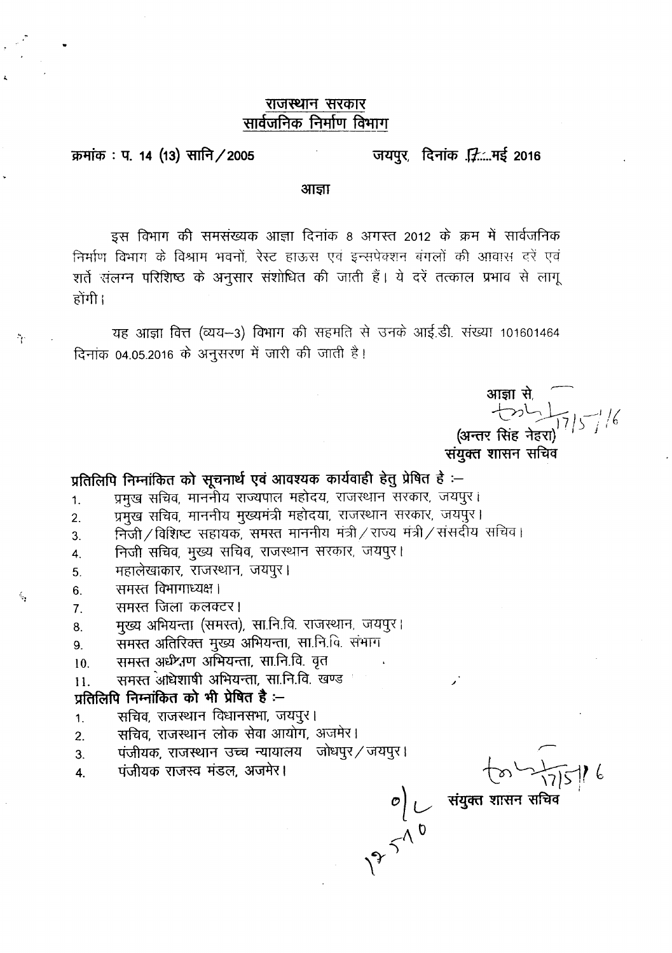### राजस्थान सरकार सार्वजनिक निर्माण विभाग

#### जयपुर, दिनांक .....मई 2016 क्रमांक: प. 14 (13) सानि / 2005

आज्ञा

इस विभाग की समसंख्यक आज्ञा दिनांक 8 अगस्त 2012 के क्रम में सार्वजनिक निर्माण विभाग के विश्राम भवनों, रेस्ट हाऊस एवं इन्सपेक्शन बंगलों की आवास दरें एवं शर्ते संलग्न परिशिष्ठ के अनुसार संशोधित की जाती हैं। ये दरें तत्काल प्रभाव से लागू नोंगी।

यह आज्ञा वित्त (व्यय-3) विभाग की सहमति से उनके आई.डी. संख्या 101601464 दिनांक 04.05.2016 के अनुसरण में जारी की जाती है।

आज्ञा से<br>तील कर्णाए/ 16<br>अन्तर सिंह नेहरा)

संयुक्त शासन सचिव

# प्रतिलिपि निम्नांकित को सूचनार्थ एवं आवश्यक कार्यवाही हेतु प्रेषित है :-

- प्रमुख सचिव, माननीय राज्यपाल महोदय, राजस्थान सरकार, जयपुर।  $1.$
- प्रमुख सचिव, माननीय मुख्यमंत्री महोदया, राजस्थान सरकार, जयपुर।  $\overline{2}$ .
- निजी/विशिष्ट सहायक, समस्त माननीय मंत्री/राज्य मंत्री/संसर्दोय सचिव। 3.
- निजी सचिव, मुख्य सचिव, राजस्थान सरकार, जयपुर। 4.
- महालेखाकार, राजस्थान, जयपुर। 5.
- समस्त विभागाध्यक्ष।  $6.$

ै।

 $\epsilon_{\rm r}$ 

- समस्त जिला कलक्टर।  $7.$
- मुख्य अभियन्ता (समस्त), सा.नि.वि. राजस्थान, जयपुर। 8.
- समस्त अतिरिक्त मुख्य अभियन्ता, सा.नि.वि. संभाग 9.
- समस्त अधेश्वण अभियन्ता, सा.नि.वि. वृत 10.
- समस्त अधिशाषी अभियन्ता, सा.नि.वि. खण्ड  $11.$

## प्रतिलिपि निम्नांकित को भी प्रेषित है:-

- सचिव, राजस्थान विधानसभा, जयपुर।  $\mathbf{1}$ .
- सचिव, राजस्थान लोक सेवा आयोग, अजमेर।  $\overline{2}$ .
- पंजीयक, राजस्थान उच्च न्यायालय) जोधपुर/जयपुर। 3.
- पंजीयक राजस्व मंडल, अजमेर।  $\overline{4}$ .

 $\begin{array}{ccc}\n& & \sqrt{2} \\
& & \sqrt{2} \\
& & \sqrt{2} \\
& & \sqrt{2}\n\end{array}$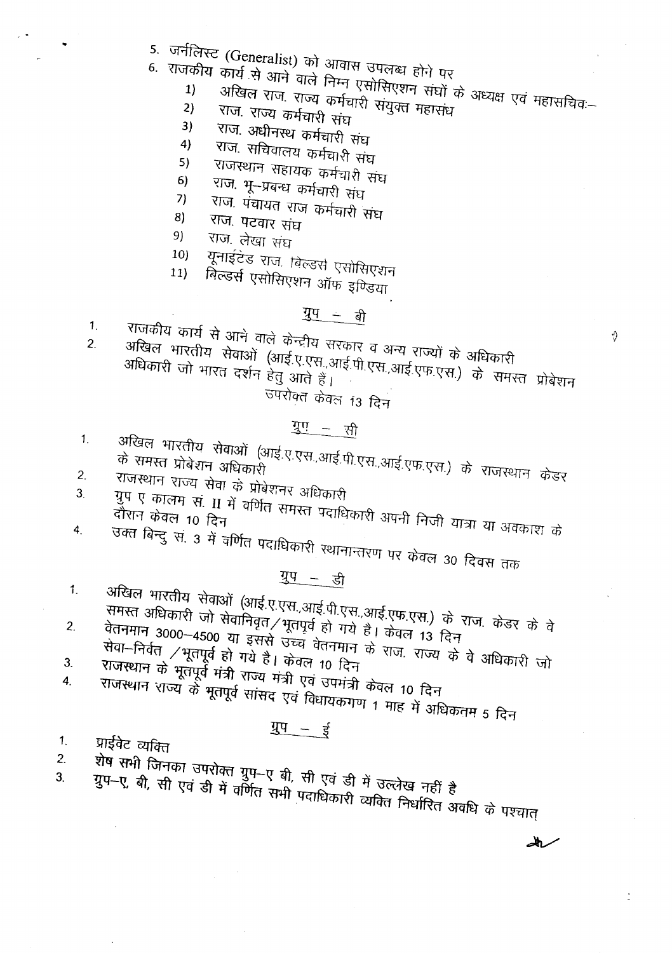- 
- 5. जर्नलिस्ट (Generalist) को आवास उपलब्ध होने पर
	-
- -<br>6. राजकीय कार्य से आने वाले निम्न एसोसिएशन संघों के अध्यक्ष एवं महासचिव:-अखिल राज. राज्य कर्मचारी संयुक्त महासंध
	- राज. राज्य कर्मचारी संघ 3)
	- राज. अधीनस्थ कर्मचारी संघ 4)
	- राज. सचिवालय कर्मचारी संघ  $5)$
	- राजस्थान सहायक कर्मचारी संघ  $6)$
	- राज. भू-प्रबन्ध कर्मचारी संघ  $7)$
	- राज. पंचायत राज कर्मचारी संघ 8)
	- राज. पटवार संघ 9)
	- राज. लेखा संघ  $10)$
	- यूनाईटेड राज. विल्डर्स एसोसिएशन  $11)$

बिल्डर्स एसोसिएशन ऑफ इण्डिया

# $\frac{1}{4}$   $\frac{1}{4}$

 $1<sub>1</sub>$ 

राजकीय कार्य से आने वाले केन्द्रीय सरकार व अन्य राज्यों के अधिकारी अखिल भारतीय सेवाओं (आई.ए.एस.,आई.पी.एस.,आई.एफ.एस.) के समस्त प्रोबेशन  $\overline{2}$ . अधिकारी जो भारत दर्शन हेतु आते हैं।

ज्यरोक्त केवल 13 दिन

# गुए - सी

- अखिल भारतीय सेवाओं (आई.ए.एस.,आई.पी.एस.,आई.एफ.एस.) के राजस्थान केडर  $\mathbf{1}$ .
- $2.$
- राजस्थान राज्य सेवा के प्रोबेशनर अधिकारी गुप ए कालम सं. II में वर्णित समस्त पदाधिकारी अपनी निजी यात्रा या अवकाश के 3. दौरान केवल 10 दिन
- उक्त बिन्दु सं. ३ में वर्णित पदाधिकारी स्थानान्तरण पर केवल ३० दिवस तक  $\overline{4}$ .

<u>गुप - डी</u>

- अखिल भारतीय सेवाओं (आई.ए.एस.,आई.पी.एस.,आई.एफ.एस.) के राज. केडर के वे  $1.$
- समस्त अधिकारी जो सेवानिवृत/भूतपूर्व हो गये है। केवल 13 दिन रेलनमान 3000–4500 या इससे उच्च वेतनमान के राज राज्य के वे अधिकारी जो  $2.$
- सेवा-निर्वत /भूतपूर्व हो गये है। केवल 10 दिन राजस्थान के भूतपूर्व मंत्री राज्य मंत्री एवं उपमंत्री केवल 10 दिन  $3<sub>l</sub>$ राजस्थान राज्य के भूतपूर्व सांसद एवं विधायकगण 1 माह में अधिकतम 5 दिन  $\overline{4}$ .
- 

# $\frac{1}{4}$  =  $\frac{1}{5}$

प्राईवेट व्यक्ति  $1<sub>1</sub>$ 

 $2.$ 

रोष सभी जिनका उपरोक्त ग्रुप–ए बी, सी एवं डी में उल्लेख नहीं <del>है</del> 3.

مالك

Ŷ.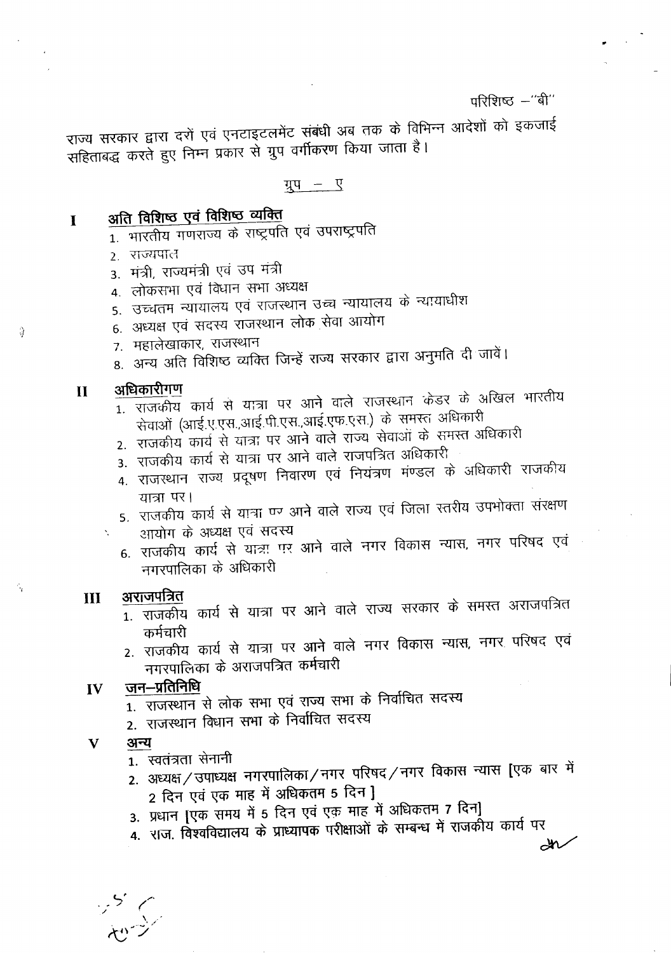## परिशिष्ट -"बी"

राज्य सरकार द्वारा दरों एवं एनटाइटलमेंट संबंधी अब तक के विभिन्न आदेशों को इकजाई सहिताबद्ध करते हुए निम्न प्रकार से ग्रुप वर्गीकरण किया जाता है।

ग्रुप – ए

#### अति विशिष्ठ एवं विशिष्ठ व्यक्ति  $\mathbf{I}$

- 1. भारतीय गणराज्य के राष्ट्रपति एवं उपराष्ट्रपति
- 2. राज्यपाल
- 3. मंत्री, राज्यमंत्री एवं उप मंत्री
- 4. लोकसभा एवं विधान सभा अध्यक्ष
- 5. उच्चतम न्यायालय एवं राजस्थान उच्च न्यायालय के न्यायाधीश
- 6. अध्यक्ष एवं सदस्य राजस्थान लोक सेवा आयोग
- ७. महालेखाकार, राजस्थान
- 8. अन्य अति विशिष्ट व्यक्ति जिन्हें राज्य सरकार द्वारा अनुमति दी जावें।

#### अधिकारीगण  $\mathbf{H}$

ो

 $\gamma_{\rm q}$ 

- $\overline{1}$  राजकीय कार्य से यात्रा पर आने वाले राजस्थान केडर के अखिल भारतीय सेवाओं (आई.ए.एस.,आई.पी.एस.,आई.एफ.एस.) के समस्त अधिकारी
- 2. राजकीय कार्य से यात्रा पर आने वाले राज्य सेवाओं के समस्त अधिकारी
- 3. राजकीय कार्य से यात्रा पर आने वाले राजपत्रित अधिकारी
- 4. राजस्थान राज्य प्रदूषण निवारण एवं नियंत्रण मंण्डल के अधिकारी राजकीय यात्रा पर।
- 5. राजकीय कार्य से यात्रा पर आने वाले राज्य एवं जिला स्तरीय उपभोक्ता संरक्षण
- आयोग के अध्यक्ष एवं सदस्य
- 6. राजकीय कार्य से यात्रा पर आने वाले नगर विकास न्यास, नगर परिषद एवं नगरपालिका के अधिकारी

#### अराजपत्रित  $III$

 $\bar{\lambda}$ 

- 1. राजकीय कार्य से यात्रा पर आने वाले राज्य सरकार के समस्त अराजपत्रित कर्मचारी
- 2. राजकीय कार्य से यात्रा पर आने वाले नगर विकास न्यास, नगर परिषद एवं नगरपालिका के अराजपत्रित कर्मचारी

#### जन–प्रतिनिधि IV

- $\frac{1}{1}$ . राजस्थान से लोक सभा एवं राज्य सभा के निर्वाचित सदस्य
- 2. राजस्थान विधान सभा के निर्वाचित सदस्य

#### $\mathbf{V}$ अन्य

- 1. स्वतंत्रता सेनानी
- 2. अध्यक्ष / उपाध्यक्ष नगरपालिका / नगर परिषद / नगर विकास न्यास [एक बार में 2 दिन एवं एक माह में अधिकतम 5 दिन ]
- 3. प्रधान [एक समय में 5 दिन एवं एक माह में अधिकतम 7 दिन]
- 4. राज. विश्वविद्यालय के प्राध्यापक परीक्षाओं के सम्बन्ध में राजकीय कार्य पर

 $\overline{\mathscr{M}}$ 

ッシーン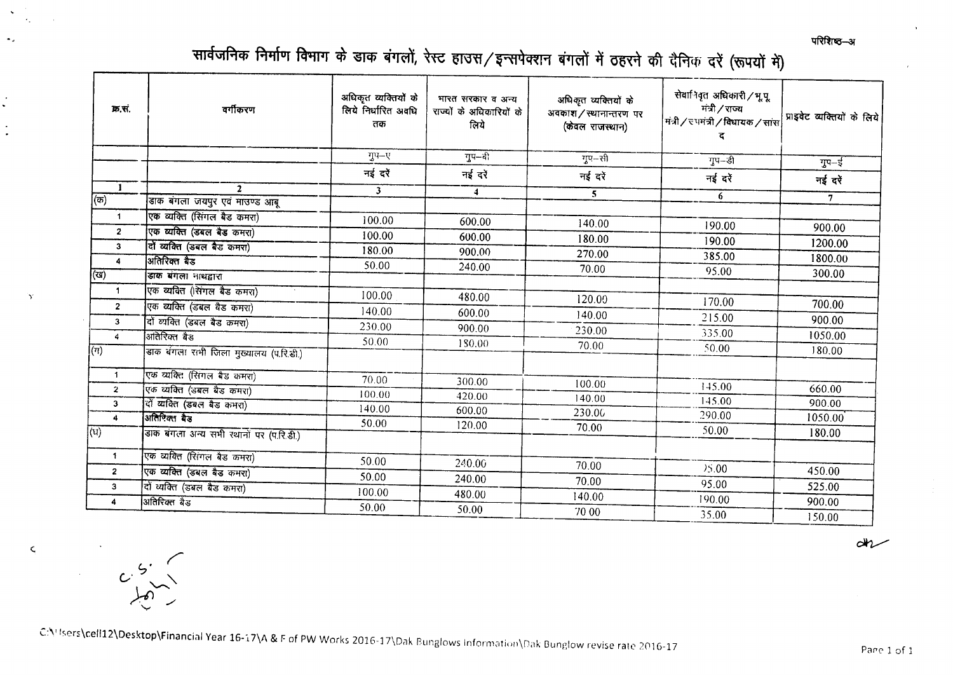परिशिष्ठ—अ

# सार्वजनिक निर्माण विभाग के डाक बंगलों, रेस्ट हाउस/इन्सपेक्शन बंगलों में ठहरने की दैनिक दरें (रूपयों में)

| क्र.सं.                 | वर्गीकरण                                     | अधिकृत व्यक्तियों के<br>लिये निर्धारित अवधि<br>तक | भारत सरकार व अन्य<br>राज्यों के अधिकारियों के<br>लिये | अधिकृत व्यक्तियों के<br>अवकाश/स्थानान्तरण पर<br>(केवल राजस्थान) | सेवानिवृत अधिकारी / भू.पू<br>मंत्री / राज्य<br>मंत्री / रूपमंत्री / विधायक / सांस | प्राइवेट व्यक्तियों के लिये<br>गुप–ई |  |
|-------------------------|----------------------------------------------|---------------------------------------------------|-------------------------------------------------------|-----------------------------------------------------------------|-----------------------------------------------------------------------------------|--------------------------------------|--|
|                         |                                              | गुप-ए                                             | गुप-दी                                                | $TQ - \bar{z}$ ी                                                | गुप-डी                                                                            |                                      |  |
|                         |                                              | नई दरें                                           | नई दरें                                               | नई दरें                                                         | नई दरें                                                                           | नई दरें                              |  |
| $\top$                  | $\mathbf{2}$                                 | $\mathbf{3}$                                      | $\blacktriangleleft$                                  | 5                                                               | 6                                                                                 |                                      |  |
| (ক)                     | डाक बंगला जयपुर एवं माउण्ड आबू               |                                                   |                                                       |                                                                 |                                                                                   | 7 <sup>7</sup>                       |  |
| 1                       | एक व्यक्ति (सिंगल बैड कमरा)                  | 100.00                                            | 600.00                                                | 140.00                                                          | 190.00                                                                            |                                      |  |
| $\mathbf{2}$            | एक व्यक्ति (डबल बैड कमरा)                    | 100.00                                            | 600.00                                                | 180.00                                                          |                                                                                   | 900.00                               |  |
| $\mathbf{3}$            | विं व्यक्ति (डबल बैड कमरा)                   | 180.00                                            | 900.00                                                | 270.00                                                          | 190.00                                                                            | 1200.00                              |  |
| $\blacktriangleleft$    | अतिरिक्त बैड                                 | 50.00                                             | 240.00                                                | 70.00                                                           | 385.00                                                                            | 1800.00                              |  |
| (रय)                    | डाक बंगला नाथद्वारा                          |                                                   |                                                       |                                                                 | 95.00                                                                             | 300.00                               |  |
| $\mathbf{1}$            | एक व्यवित (सिंगल बैड कमरा)                   | 100.00                                            | 480.00                                                |                                                                 |                                                                                   |                                      |  |
| $\overline{\mathbf{z}}$ | एक व्यक्ति (डबल वैड कमरा)                    | 140.00                                            | 600.00                                                | 120.00                                                          | 170.00                                                                            | 700.00                               |  |
| 3                       | वों व्यक्ति (डबल बैड कमरा)                   | 230.00                                            | 900.00                                                | 140.00                                                          | 215.00                                                                            | 900.00                               |  |
| $\ddot{a}$              | अतिरिक्त बैड                                 | 50.00                                             |                                                       | 230.00                                                          | 335.00                                                                            | 1050.00                              |  |
| $\sqrt{(n)}$            | ।<br>डाक बंगला रामी जिला मुख्यालय (प.रि.डी.) |                                                   | 180.00                                                | 70.00                                                           | 50.00                                                                             | 180.00                               |  |
| $\mathbf{1}$            | एक व्यक्ति (सिंगल बैड कमरा)                  | 70.00                                             | 300.00                                                | 100.00                                                          |                                                                                   |                                      |  |
| $\overline{2}$          | एक व्यक्ति (उबल बैड कमरा)                    | 100.00                                            | 420.00                                                | 140.00                                                          | 145.00                                                                            | 660.00                               |  |
| $\mathbf{3}$            | दों व्यक्ति (डबल बैड कमरा)                   | 140.00                                            | 600.00                                                | 230.00                                                          | 145.00                                                                            | 900.00                               |  |
| $\overline{\mathbf{4}}$ | अतिरिक्त बैड                                 | 50.00                                             | 120.00                                                |                                                                 | 290.00                                                                            | 1050.00                              |  |
| $\overline{(u)}$        | डाक बंगला अन्य सभी खानों पर (प.रि.डी.)       |                                                   |                                                       | 70.00                                                           | 50.00                                                                             | 180.00                               |  |
| $\mathbf{1}$            | एक व्यक्ति (रिांगल बैड कमरा)                 | 50.00                                             | 240.00                                                |                                                                 |                                                                                   |                                      |  |
| $\overline{2}$          | एक व्यक्ति (डबल बैड कमरा)                    | 50.00                                             |                                                       | 70.00                                                           | 75.00                                                                             | 450.00                               |  |
| 3                       | वों ध्यक्ति (डबल बैड कमरा)                   | 100.00                                            | 240.00                                                | 70.00                                                           | 95.00                                                                             | 525.00                               |  |
| 4                       | अतिरिक्त बैड                                 | 50.00                                             | 480.00                                                | 140.00                                                          | 190.00                                                                            | 900.00                               |  |
|                         |                                              |                                                   | 50.00                                                 | 70 00                                                           | 35.00                                                                             | 150.00                               |  |

 $ar-$ 

C:\' Isers\cell12\Desktop\Financial Year 16-17\A & F of PW Works 2016-17\Dak Bunglows Information\Dak Bunglow revise rate 2016-17

 $\ddot{\phantom{1}}$  $\ddot{\phantom{0}}$ 

 $\bullet$ 

 $\Delta$ 

 $\zeta$ 

 $C\frac{6}{100}$